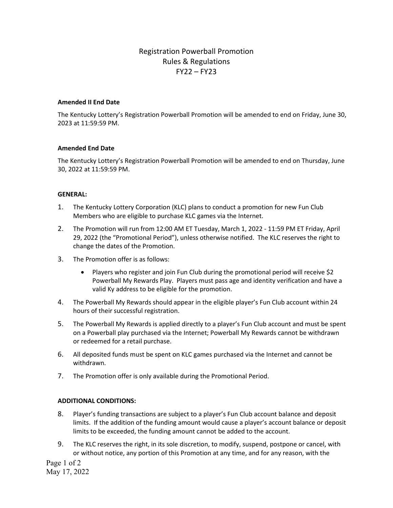# Registration Powerball Promotion Rules & Regulations FY22 – FY23

## **Amended II End Date**

The Kentucky Lottery's Registration Powerball Promotion will be amended to end on Friday, June 30, 2023 at 11:59:59 PM.

#### **Amended End Date**

The Kentucky Lottery's Registration Powerball Promotion will be amended to end on Thursday, June 30, 2022 at 11:59:59 PM.

## **GENERAL:**

- 1. The Kentucky Lottery Corporation (KLC) plans to conduct a promotion for new Fun Club Members who are eligible to purchase KLC games via the Internet.
- 2. The Promotion will run from 12:00 AM ET Tuesday, March 1, 2022 11:59 PM ET Friday, April 29, 2022 (the "Promotional Period"), unless otherwise notified. The KLC reserves the right to change the dates of the Promotion.
- 3. The Promotion offer is as follows:
	- Players who register and join Fun Club during the promotional period will receive \$2 Powerball My Rewards Play. Players must pass age and identity verification and have a valid Ky address to be eligible for the promotion.
- 4. The Powerball My Rewards should appear in the eligible player's Fun Club account within 24 hours of their successful registration.
- 5. The Powerball My Rewards is applied directly to a player's Fun Club account and must be spent on a Powerball play purchased via the Internet; Powerball My Rewards cannot be withdrawn or redeemed for a retail purchase.
- 6. All deposited funds must be spent on KLC games purchased via the Internet and cannot be withdrawn.
- 7. The Promotion offer is only available during the Promotional Period.

## **ADDITIONAL CONDITIONS:**

- 8. Player's funding transactions are subject to a player's Fun Club account balance and deposit limits. If the addition of the funding amount would cause a player's account balance or deposit limits to be exceeded, the funding amount cannot be added to the account.
- 9. The KLC reserves the right, in its sole discretion, to modify, suspend, postpone or cancel, with or without notice, any portion of this Promotion at any time, and for any reason, with the

Page 1 of 2 May 17, 2022